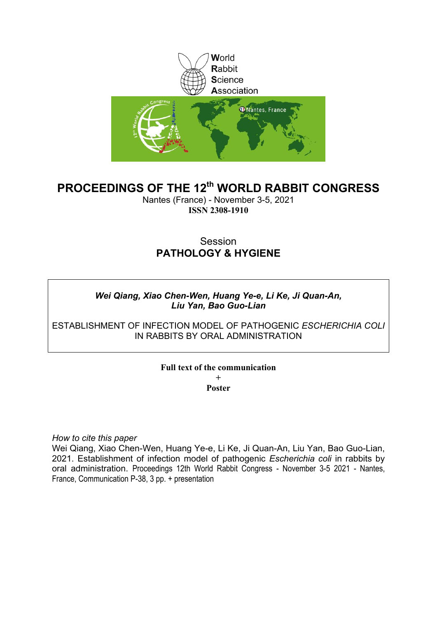

# **PROCEEDINGS OF THE 12th WORLD RABBIT CONGRESS**

Nantes (France) - November 3-5, 2021 **ISSN 2308-1910**

# Session **PATHOLOGY & HYGIENE**

### *Wei Qiang, Xiao Chen-Wen, Huang Ye-e, Li Ke, Ji Quan-An, Liu Yan, Bao Guo-Lian*

ESTABLISHMENT OF INFECTION MODEL OF PATHOGENIC *ESCHERICHIA COLI* IN RABBITS BY ORAL ADMINISTRATION

### **Full text of the communication + Poster**

*How to cite this paper*

Wei Qiang, Xiao Chen-Wen, Huang Ye-e, Li Ke, Ji Quan-An, Liu Yan, Bao Guo-Lian, 2021. Establishment of infection model of pathogenic *Escherichia coli* in rabbits by oral administration. Proceedings 12th World Rabbit Congress - November 3-5 2021 - Nantes, France, Communication P-38, 3 pp. + presentation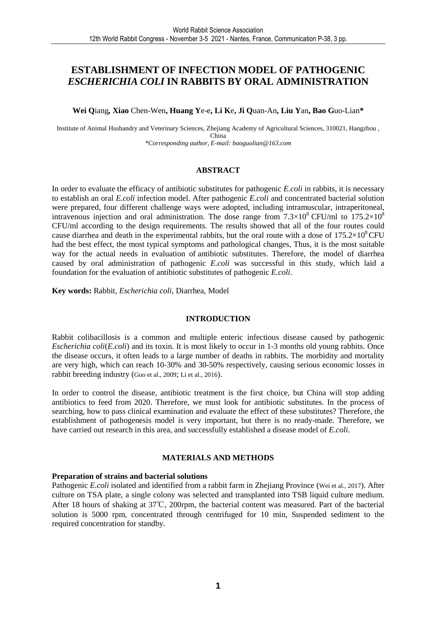### **ESTABLISHMENT OF INFECTION MODEL OF PATHOGENIC**  *ESCHERICHIA COLI* **IN RABBITS BY ORAL ADMINISTRATION**

**Wei Q**iang*,* **Xiao** Chen-Wen**, Huang Y**e-e**, Li K**e**, Ji Q**uan-An**, Liu Y**an**, Bao G**uo-Lian**\*** 

Institute of Animal Husbandry and Veterinary Sciences, Zhejiang Academy of Agricultural Sciences, 310021, Hangzhou , China *\*Corresponding author, E-mail: baoguolian@163.com*

#### **ABSTRACT**

In order to evaluate the efficacy of antibiotic substitutes for pathogenic *E.coli* in rabbits, it is necessary to establish an oral *E.coli* infection model. After pathogenic *E.coli* and concentrated bacterial solution were prepared, four different challenge ways were adopted, including intramuscular, intraperitoneal, intravenous injection and oral administration. The dose range from  $7.3\times10^8$  CFU/ml to  $175.2\times10^8$ CFU/ml according to the design requirements. The results showed that all of the four routes could cause diarrhea and death in the experimental rabbits, but the oral route with a dose of  $175.2\times10^{8}$  CFU had the best effect, the most typical symptoms and pathological changes, Thus, it is the most suitable way for the actual needs in evaluation of antibiotic substitutes. Therefore, the model of diarrhea caused by oral administration of pathogenic *E.coli* was successful in this study, which laid a foundation for the evaluation of antibiotic substitutes of pathogenic *E.coli*.

**Key words:** Rabbit, *Escherichia coli*, Diarrhea, Model

### **INTRODUCTION**

Rabbit colibacillosis is a common and multiple enteric infectious disease caused by pathogenic *Escherichia coli*(*E.coli*) and its toxin. It is most likely to occur in 1-3 months old young rabbits. Once the disease occurs, it often leads to a large number of deaths in rabbits. The morbidity and mortality are very high, which can reach 10-30% and 30-50% respectively, causing serious economic losses in rabbit breeding industry (Guo et al., 2009; Li et al., 2016).

In order to control the disease, antibiotic treatment is the first choice, but China will stop adding antibiotics to feed from 2020. Therefore, we must look for antibiotic substitutes. In the process of searching, how to pass clinical examination and evaluate the effect of these substitutes? Therefore, the establishment of pathogenesis model is very important, but there is no ready-made. Therefore, we have carried out research in this area, and successfully established a disease model of *E.coli*.

### **MATERIALS AND METHODS**

#### **Preparation of strains and bacterial solutions**

Pathogenic *E.coli* isolated and identified from a rabbit farm in Zheijang Province (Wei et al., 2017). After culture on TSA plate, a single colony was selected and transplanted into TSB liquid culture medium. After 18 hours of shaking at 37℃, 200rpm, the bacterial content was measured. Part of the bacterial solution is 5000 rpm, concentrated through centrifuged for 10 min, Suspended sediment to the required concentration for standby.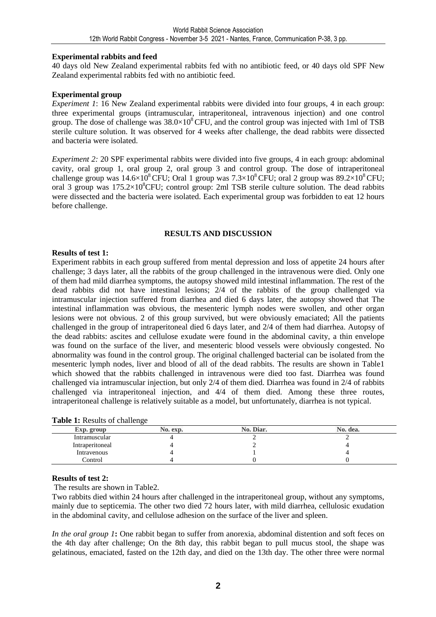#### **Experimental rabbits and feed**

40 days old New Zealand experimental rabbits fed with no antibiotic feed, or 40 days old SPF New Zealand experimental rabbits fed with no antibiotic feed.

#### **Experimental group**

*Experiment 1*: 16 New Zealand experimental rabbits were divided into four groups, 4 in each group: three experimental groups (intramuscular, intraperitoneal, intravenous injection) and one control group. The dose of challenge was  $38.0\times10^{8}$  CFU, and the control group was injected with 1ml of TSB sterile culture solution. It was observed for 4 weeks after challenge, the dead rabbits were dissected and bacteria were isolated.

*Experiment 2:* 20 SPF experimental rabbits were divided into five groups, 4 in each group: abdominal cavity, oral group 1, oral group 2, oral group 3 and control group. The dose of intraperitoneal challenge group was  $14.6\times10^8$  CFU; Oral 1 group was  $7.3\times10^8$  CFU; oral 2 group was  $89.2\times10^8$  CFU; oral 3 group was  $175.2\times10^{8}$ CFU; control group: 2ml TSB sterile culture solution. The dead rabbits were dissected and the bacteria were isolated. Each experimental group was forbidden to eat 12 hours before challenge.

#### **RESULTS AND DISCUSSION**

#### **Results of test 1:**

Experiment rabbits in each group suffered from mental depression and loss of appetite 24 hours after challenge; 3 days later, all the rabbits of the group challenged in the intravenous were died. Only one of them had mild diarrhea symptoms, the autopsy showed mild intestinal inflammation. The rest of the dead rabbits did not have intestinal lesions; 2/4 of the rabbits of the group challenged via intramuscular injection suffered from diarrhea and died 6 days later, the autopsy showed that The intestinal inflammation was obvious, the mesenteric lymph nodes were swollen, and other organ lesions were not obvious. 2 of this group survived, but were obviously emaciated; All the patients challenged in the group of intraperitoneal died 6 days later, and 2/4 of them had diarrhea. Autopsy of the dead rabbits: ascites and cellulose exudate were found in the abdominal cavity, a thin envelope was found on the surface of the liver, and mesenteric blood vessels were obviously congested. No abnormality was found in the control group. The original challenged bacterial can be isolated from the mesenteric lymph nodes, liver and blood of all of the dead rabbits. The results are shown in Table1 which showed that the rabbits challenged in intravenous were died too fast. Diarrhea was found challenged via intramuscular injection, but only 2/4 of them died. Diarrhea was found in 2/4 of rabbits challenged via intraperitoneal injection, and 4/4 of them died. Among these three routes, intraperitoneal challenge is relatively suitable as a model, but unfortunately, diarrhea is not typical.

| <b>rapic 1.</b> Kesuns of chancing |          |           |          |
|------------------------------------|----------|-----------|----------|
| Exp. group                         | No. exp. | No. Diar. | No. dea. |
| Intramuscular                      |          |           |          |
| Intraperitoneal                    |          |           |          |
| Intravenous                        |          |           |          |
| Control                            |          |           |          |
|                                    |          |           |          |

#### **Table 1:** Results of challenge

### **Results of test 2:**

The results are shown in Table2.

Two rabbits died within 24 hours after challenged in the intraperitoneal group, without any symptoms, mainly due to septicemia. The other two died 72 hours later, with mild diarrhea, cellulosic exudation in the abdominal cavity, and cellulose adhesion on the surface of the liver and spleen.

*In the oral group 1***:** One rabbit began to suffer from anorexia, abdominal distention and soft feces on the 4th day after challenge; On the 8th day, this rabbit began to pull mucus stool, the shape was gelatinous, emaciated, fasted on the 12th day, and died on the 13th day. The other three were normal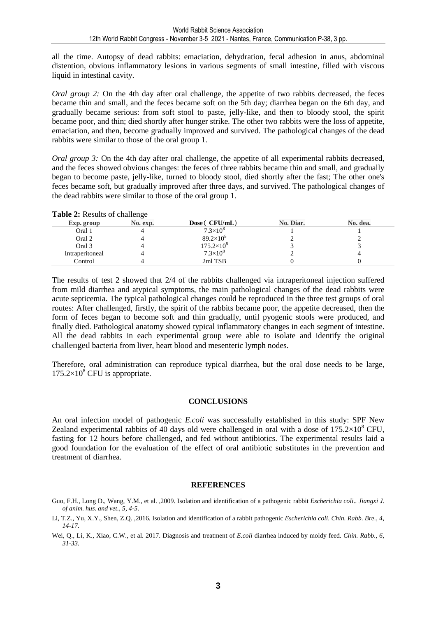all the time. Autopsy of dead rabbits: emaciation, dehydration, fecal adhesion in anus, abdominal distention, obvious inflammatory lesions in various segments of small intestine, filled with viscous liquid in intestinal cavity.

*Oral group 2:* On the 4th day after oral challenge, the appetite of two rabbits decreased, the feces became thin and small, and the feces became soft on the 5th day; diarrhea began on the 6th day, and gradually became serious: from soft stool to paste, jelly-like, and then to bloody stool, the spirit became poor, and thin; died shortly after hunger strike. The other two rabbits were the loss of appetite, emaciation, and then, become gradually improved and survived. The pathological changes of the dead rabbits were similar to those of the oral group 1.

*Oral group 3:* On the 4th day after oral challenge, the appetite of all experimental rabbits decreased, and the feces showed obvious changes: the feces of three rabbits became thin and small, and gradually began to become paste, jelly-like, turned to bloody stool, died shortly after the fast; The other one's feces became soft, but gradually improved after three days, and survived. The pathological changes of the dead rabbits were similar to those of the oral group 1.

#### **Table 2:** Results of challenge

| Exp. group      | No. exp. | Dose (CFU/mL)       | No. Diar. | No. dea. |
|-----------------|----------|---------------------|-----------|----------|
| Oral 1          |          | $7.3\times10^{8}$   |           |          |
| Oral 2          |          | $89.2\times10^{8}$  |           |          |
| Oral 3          |          | $175.2\times10^{8}$ |           |          |
| Intraperitoneal |          | $7.3 \times 10^{8}$ |           |          |
| Control         |          | 2ml TSB             |           |          |

The results of test 2 showed that 2/4 of the rabbits challenged via intraperitoneal injection suffered from mild diarrhea and atypical symptoms, the main pathological changes of the dead rabbits were acute septicemia. The typical pathological changes could be reproduced in the three test groups of oral routes: After challenged, firstly, the spirit of the rabbits became poor, the appetite decreased, then the form of feces began to become soft and thin gradually, until pyogenic stools were produced, and finally died. Pathological anatomy showed typical inflammatory changes in each segment of intestine. All the dead rabbits in each experimental group were able to isolate and identify the original challenged bacteria from liver, heart blood and mesenteric lymph nodes.

Therefore, oral administration can reproduce typical diarrhea, but the oral dose needs to be large,  $175.2\times10^8$  CFU is appropriate.

#### **CONCLUSIONS**

An oral infection model of pathogenic *E.coli* was successfully established in this study: SPF New Zealand experimental rabbits of 40 days old were challenged in oral with a dose of  $175.2\times10^8$  CFU, fasting for 12 hours before challenged, and fed without antibiotics. The experimental results laid a good foundation for the evaluation of the effect of oral antibiotic substitutes in the prevention and treatment of diarrhea.

#### **REFERENCES**

- Guo, F.H., Long D., Wang, Y.M., et al. ,2009. Isolation and identification of a pathogenic rabbit *Escherichia coli*.. *Jiangxi J. of anim. hus. and vet., 5, 4-5.*
- Li, T.Z., Yu, X.Y., Shen, Z.Q. ,2016*.* Isolation and identification of a rabbit pathogenic *Escherichia coli*. *Chin. Rabb. Bre., 4, 14-17.*

Wei, Q., Li, K., Xiao, C.W., et al. 2017. Diagnosis and treatment of *E.coli* diarrhea induced by moldy feed. *Chin. Rabb., 6, 31-33.*